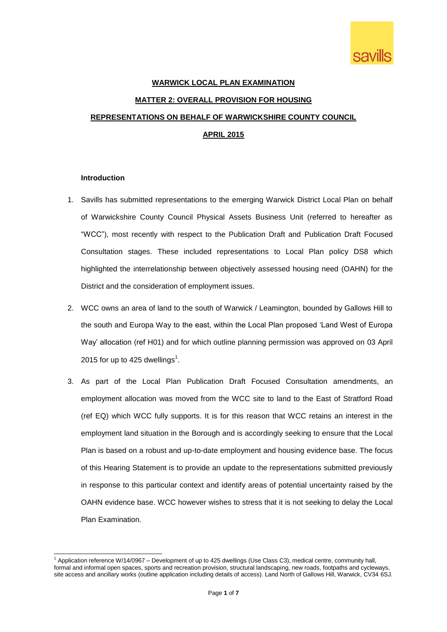

# **WARWICK LOCAL PLAN EXAMINATION MATTER 2: OVERALL PROVISION FOR HOUSING REPRESENTATIONS ON BEHALF OF WARWICKSHIRE COUNTY COUNCIL APRIL 2015**

### **Introduction**

- 1. Savills has submitted representations to the emerging Warwick District Local Plan on behalf of Warwickshire County Council Physical Assets Business Unit (referred to hereafter as "WCC"), most recently with respect to the Publication Draft and Publication Draft Focused Consultation stages. These included representations to Local Plan policy DS8 which highlighted the interrelationship between objectively assessed housing need (OAHN) for the District and the consideration of employment issues.
- 2. WCC owns an area of land to the south of Warwick / Leamington, bounded by Gallows Hill to the south and Europa Way to the east, within the Local Plan proposed 'Land West of Europa Way' allocation (ref H01) and for which outline planning permission was approved on 03 April 2015 for up to 425 dwellings<sup>1</sup>.
- 3. As part of the Local Plan Publication Draft Focused Consultation amendments, an employment allocation was moved from the WCC site to land to the East of Stratford Road (ref EQ) which WCC fully supports. It is for this reason that WCC retains an interest in the employment land situation in the Borough and is accordingly seeking to ensure that the Local Plan is based on a robust and up-to-date employment and housing evidence base. The focus of this Hearing Statement is to provide an update to the representations submitted previously in response to this particular context and identify areas of potential uncertainty raised by the OAHN evidence base. WCC however wishes to stress that it is not seeking to delay the Local Plan Examination.

<sup>1</sup> <sup>1</sup> Application reference W/14/0967 – Development of up to 425 dwellings (Use Class C3), medical centre, community hall, formal and informal open spaces, sports and recreation provision, structural landscaping, new roads, footpaths and cycleways, site access and ancillary works (outline application including details of access). Land North of Gallows Hill, Warwick, CV34 6SJ.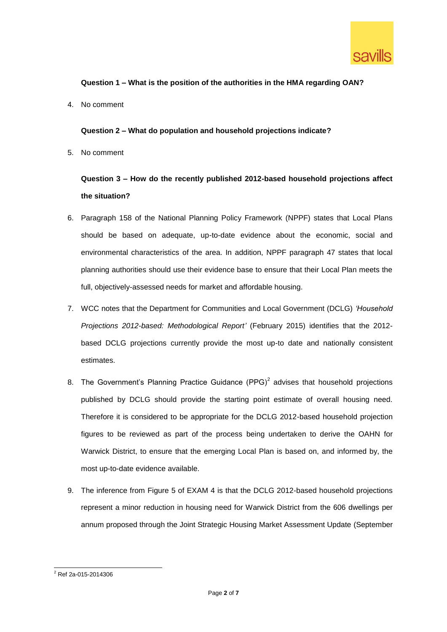

### **Question 1 – What is the position of the authorities in the HMA regarding OAN?**

4. No comment

### **Question 2 – What do population and household projections indicate?**

5. No comment

# **Question 3 – How do the recently published 2012-based household projections affect the situation?**

- 6. Paragraph 158 of the National Planning Policy Framework (NPPF) states that Local Plans should be based on adequate, up-to-date evidence about the economic, social and environmental characteristics of the area. In addition, NPPF paragraph 47 states that local planning authorities should use their evidence base to ensure that their Local Plan meets the full, objectively-assessed needs for market and affordable housing.
- 7. WCC notes that the Department for Communities and Local Government (DCLG) *'Household Projections 2012-based: Methodological Report'* (February 2015) identifies that the 2012 based DCLG projections currently provide the most up-to date and nationally consistent estimates.
- 8. The Government's Planning Practice Guidance  $(PPG)^2$  advises that household projections published by DCLG should provide the starting point estimate of overall housing need. Therefore it is considered to be appropriate for the DCLG 2012-based household projection figures to be reviewed as part of the process being undertaken to derive the OAHN for Warwick District, to ensure that the emerging Local Plan is based on, and informed by, the most up-to-date evidence available.
- 9. The inference from Figure 5 of EXAM 4 is that the DCLG 2012-based household projections represent a minor reduction in housing need for Warwick District from the 606 dwellings per annum proposed through the Joint Strategic Housing Market Assessment Update (September

<sup>1</sup> <sup>2</sup> Ref 2a-015-2014306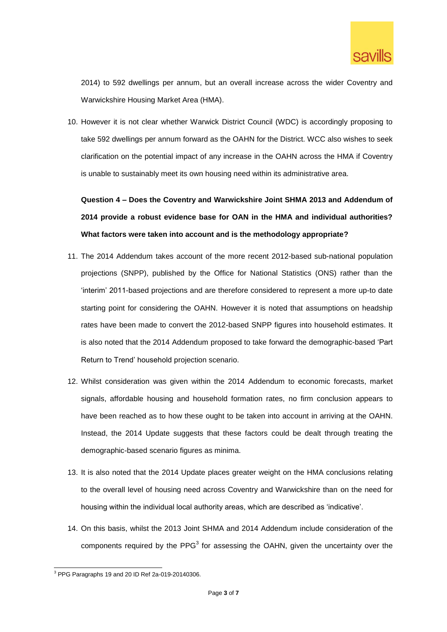

2014) to 592 dwellings per annum, but an overall increase across the wider Coventry and Warwickshire Housing Market Area (HMA).

10. However it is not clear whether Warwick District Council (WDC) is accordingly proposing to take 592 dwellings per annum forward as the OAHN for the District. WCC also wishes to seek clarification on the potential impact of any increase in the OAHN across the HMA if Coventry is unable to sustainably meet its own housing need within its administrative area.

**Question 4 – Does the Coventry and Warwickshire Joint SHMA 2013 and Addendum of 2014 provide a robust evidence base for OAN in the HMA and individual authorities? What factors were taken into account and is the methodology appropriate?**

- 11. The 2014 Addendum takes account of the more recent 2012-based sub-national population projections (SNPP), published by the Office for National Statistics (ONS) rather than the 'interim' 2011-based projections and are therefore considered to represent a more up-to date starting point for considering the OAHN. However it is noted that assumptions on headship rates have been made to convert the 2012-based SNPP figures into household estimates. It is also noted that the 2014 Addendum proposed to take forward the demographic-based 'Part Return to Trend' household projection scenario.
- 12. Whilst consideration was given within the 2014 Addendum to economic forecasts, market signals, affordable housing and household formation rates, no firm conclusion appears to have been reached as to how these ought to be taken into account in arriving at the OAHN. Instead, the 2014 Update suggests that these factors could be dealt through treating the demographic-based scenario figures as minima.
- 13. It is also noted that the 2014 Update places greater weight on the HMA conclusions relating to the overall level of housing need across Coventry and Warwickshire than on the need for housing within the individual local authority areas, which are described as 'indicative'.
- 14. On this basis, whilst the 2013 Joint SHMA and 2014 Addendum include consideration of the components required by the PPG $3$  for assessing the OAHN, given the uncertainty over the

<sup>1</sup>  $3$  PPG Paragraphs 19 and 20 ID Ref 2a-019-20140306.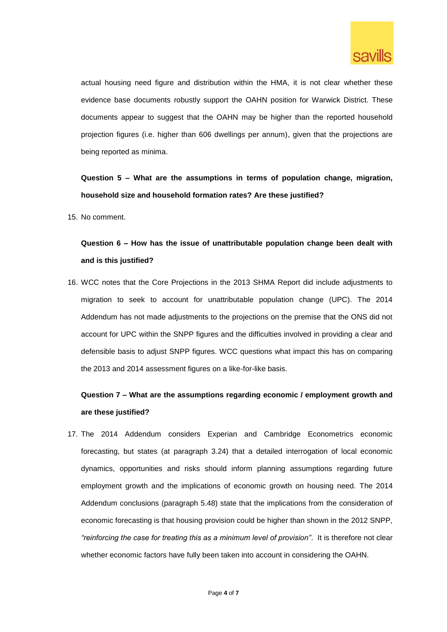

actual housing need figure and distribution within the HMA, it is not clear whether these evidence base documents robustly support the OAHN position for Warwick District. These documents appear to suggest that the OAHN may be higher than the reported household projection figures (i.e. higher than 606 dwellings per annum), given that the projections are being reported as minima.

**Question 5 – What are the assumptions in terms of population change, migration, household size and household formation rates? Are these justified?**

15. No comment.

### **Question 6 – How has the issue of unattributable population change been dealt with and is this justified?**

16. WCC notes that the Core Projections in the 2013 SHMA Report did include adjustments to migration to seek to account for unattributable population change (UPC). The 2014 Addendum has not made adjustments to the projections on the premise that the ONS did not account for UPC within the SNPP figures and the difficulties involved in providing a clear and defensible basis to adjust SNPP figures. WCC questions what impact this has on comparing the 2013 and 2014 assessment figures on a like-for-like basis.

### **Question 7 – What are the assumptions regarding economic / employment growth and are these justified?**

17. The 2014 Addendum considers Experian and Cambridge Econometrics economic forecasting, but states (at paragraph 3.24) that a detailed interrogation of local economic dynamics, opportunities and risks should inform planning assumptions regarding future employment growth and the implications of economic growth on housing need. The 2014 Addendum conclusions (paragraph 5.48) state that the implications from the consideration of economic forecasting is that housing provision could be higher than shown in the 2012 SNPP, *"reinforcing the case for treating this as a minimum level of provision"*. It is therefore not clear whether economic factors have fully been taken into account in considering the OAHN.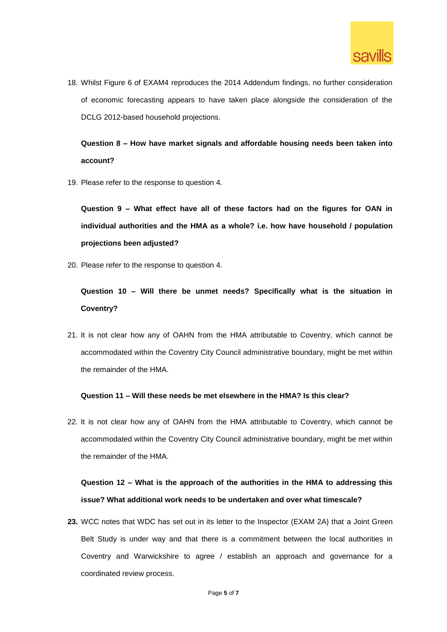

18. Whilst Figure 6 of EXAM4 reproduces the 2014 Addendum findings, no further consideration of economic forecasting appears to have taken place alongside the consideration of the DCLG 2012-based household projections.

**Question 8 – How have market signals and affordable housing needs been taken into account?**

19. Please refer to the response to question 4.

**Question 9 – What effect have all of these factors had on the figures for OAN in individual authorities and the HMA as a whole? i.e. how have household / population projections been adjusted?**

20. Please refer to the response to question 4.

**Question 10 – Will there be unmet needs? Specifically what is the situation in Coventry?**

21. It is not clear how any of OAHN from the HMA attributable to Coventry, which cannot be accommodated within the Coventry City Council administrative boundary, might be met within the remainder of the HMA.

#### **Question 11 – Will these needs be met elsewhere in the HMA? Is this clear?**

22. It is not clear how any of OAHN from the HMA attributable to Coventry, which cannot be accommodated within the Coventry City Council administrative boundary, might be met within the remainder of the HMA.

# **Question 12 – What is the approach of the authorities in the HMA to addressing this issue? What additional work needs to be undertaken and over what timescale?**

**23.** WCC notes that WDC has set out in its letter to the Inspector (EXAM 2A) that a Joint Green Belt Study is under way and that there is a commitment between the local authorities in Coventry and Warwickshire to agree / establish an approach and governance for a coordinated review process.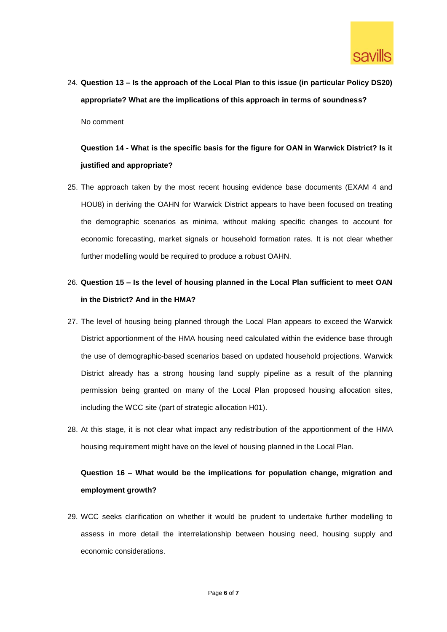

24. **Question 13 – Is the approach of the Local Plan to this issue (in particular Policy DS20) appropriate? What are the implications of this approach in terms of soundness?** No comment

# **Question 14 - What is the specific basis for the figure for OAN in Warwick District? Is it justified and appropriate?**

25. The approach taken by the most recent housing evidence base documents (EXAM 4 and HOU8) in deriving the OAHN for Warwick District appears to have been focused on treating the demographic scenarios as minima, without making specific changes to account for economic forecasting, market signals or household formation rates. It is not clear whether further modelling would be required to produce a robust OAHN.

### 26. **Question 15 – Is the level of housing planned in the Local Plan sufficient to meet OAN in the District? And in the HMA?**

- 27. The level of housing being planned through the Local Plan appears to exceed the Warwick District apportionment of the HMA housing need calculated within the evidence base through the use of demographic-based scenarios based on updated household projections. Warwick District already has a strong housing land supply pipeline as a result of the planning permission being granted on many of the Local Plan proposed housing allocation sites, including the WCC site (part of strategic allocation H01).
- 28. At this stage, it is not clear what impact any redistribution of the apportionment of the HMA housing requirement might have on the level of housing planned in the Local Plan.

# **Question 16 – What would be the implications for population change, migration and employment growth?**

29. WCC seeks clarification on whether it would be prudent to undertake further modelling to assess in more detail the interrelationship between housing need, housing supply and economic considerations.